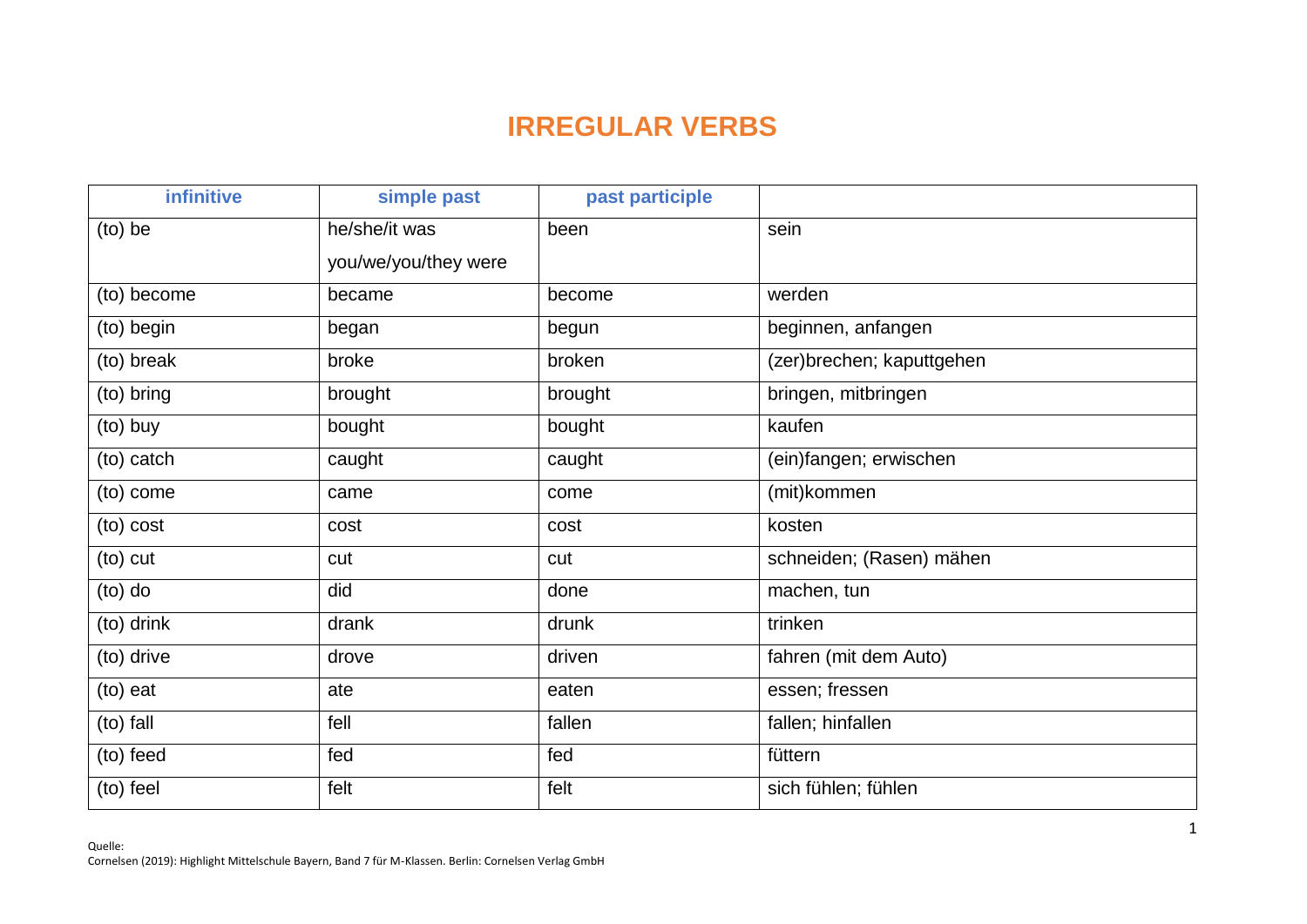## **IRREGULAR VERBS**

| infinitive  | simple past          | past participle |                           |
|-------------|----------------------|-----------------|---------------------------|
| (to) be     | he/she/it was        | been            | sein                      |
|             | you/we/you/they were |                 |                           |
| (to) become | became               | become          | werden                    |
| (to) begin  | began                | begun           | beginnen, anfangen        |
| (to) break  | broke                | broken          | (zer)brechen; kaputtgehen |
| (to) bring  | brought              | brought         | bringen, mitbringen       |
| (to) buy    | bought               | bought          | kaufen                    |
| (to) catch  | caught               | caught          | (ein)fangen; erwischen    |
| (to) come   | came                 | come            | (mit)kommen               |
| (to) cost   | cost                 | cost            | kosten                    |
| (to) cut    | cut                  | cut             | schneiden; (Rasen) mähen  |
| $(to)$ do   | did                  | done            | machen, tun               |
| (to) drink  | drank                | drunk           | trinken                   |
| (to) drive  | drove                | driven          | fahren (mit dem Auto)     |
| (to) eat    | ate                  | eaten           | essen; fressen            |
| (to) fall   | fell                 | fallen          | fallen; hinfallen         |
| (to) feed   | fed                  | fed             | füttern                   |
| (to) feel   | felt                 | felt            | sich fühlen; fühlen       |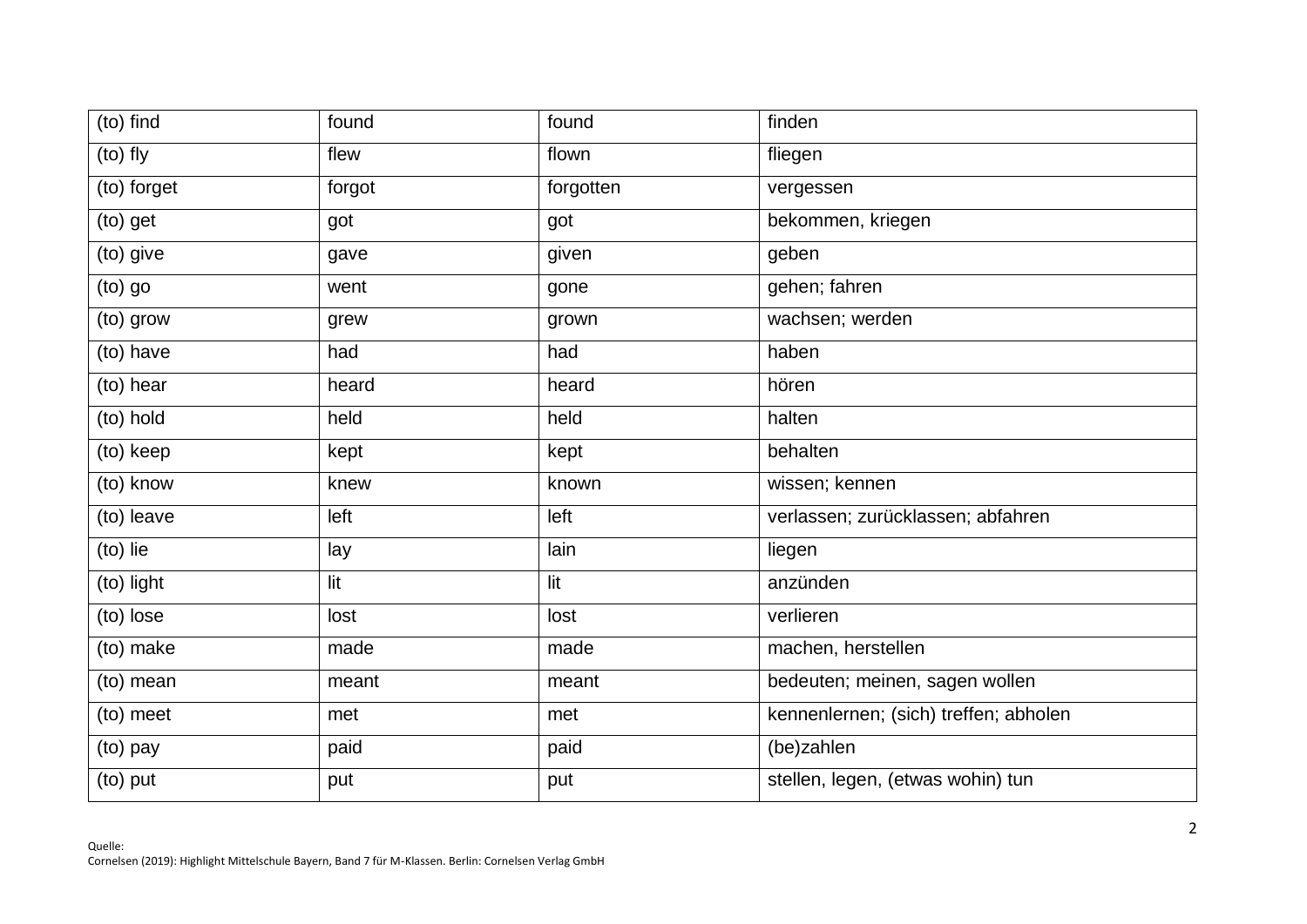| (to) find   | found  | found     | finden                                |
|-------------|--------|-----------|---------------------------------------|
| (to) fly    | flew   | flown     | fliegen                               |
| (to) forget | forgot | forgotten | vergessen                             |
| (to) get    | got    | got       | bekommen, kriegen                     |
| (to) give   | gave   | given     | geben                                 |
| (to) go     | went   | gone      | gehen; fahren                         |
| (to) grow   | grew   | grown     | wachsen; werden                       |
| (to) have   | had    | had       | haben                                 |
| (to) hear   | heard  | heard     | hören                                 |
| (to) hold   | held   | held      | halten                                |
| (to) keep   | kept   | kept      | behalten                              |
| (to) know   | knew   | known     | wissen; kennen                        |
| (to) leave  | left   | left      | verlassen; zurücklassen; abfahren     |
| (to) lie    | lay    | lain      | liegen                                |
| (to) light  | lit    | lit       | anzünden                              |
| (to) lose   | lost   | lost      | verlieren                             |
| (to) make   | made   | made      | machen, herstellen                    |
| (to) mean   | meant  | meant     | bedeuten; meinen, sagen wollen        |
| (to) meet   | met    | met       | kennenlernen; (sich) treffen; abholen |
| (to) pay    | paid   | paid      | (be)zahlen                            |
| (to) put    | put    | put       | stellen, legen, (etwas wohin) tun     |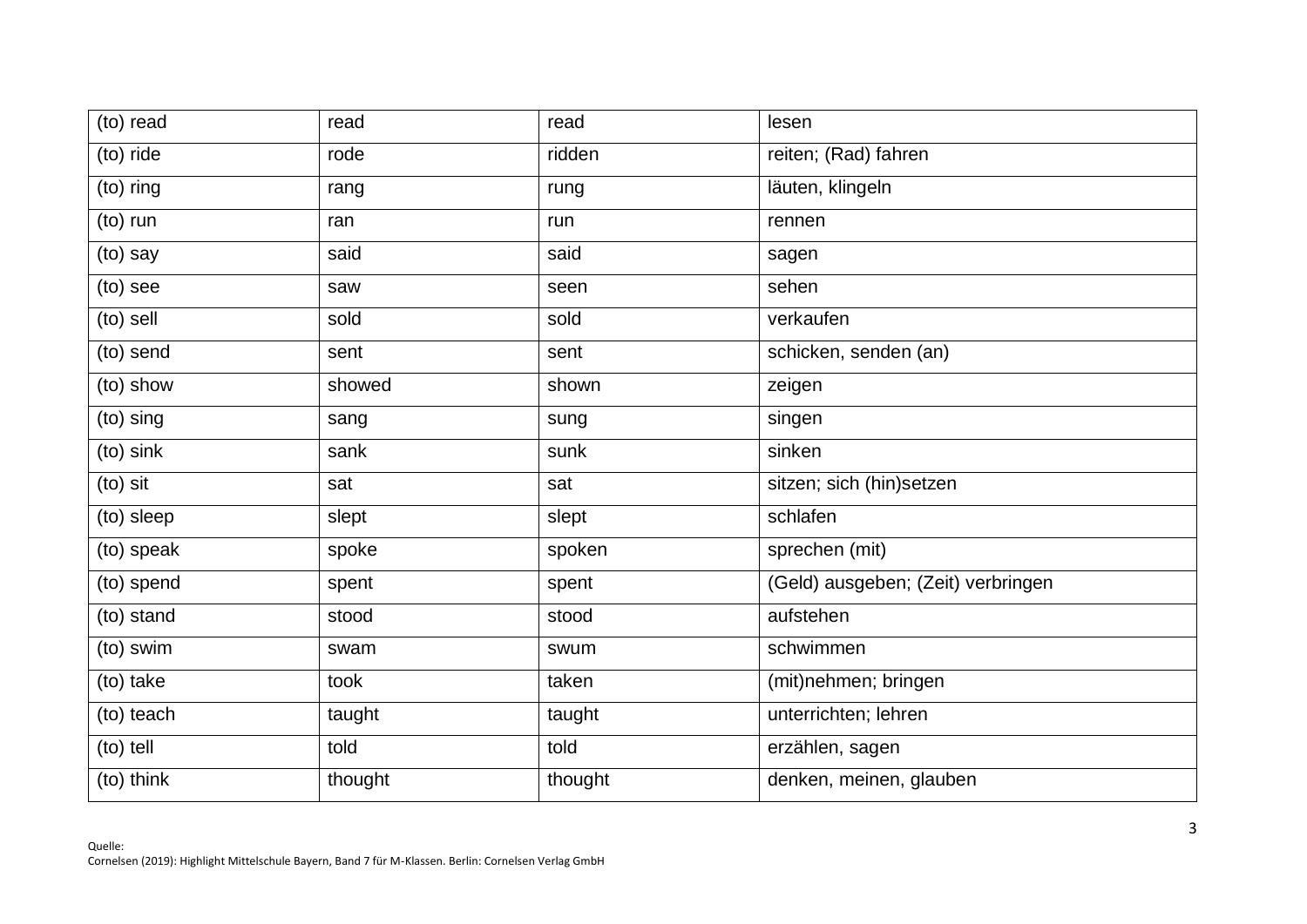| (to) read  | read    | read    | lesen                              |
|------------|---------|---------|------------------------------------|
| (to) ride  | rode    | ridden  | reiten; (Rad) fahren               |
| (to) ring  | rang    | rung    | läuten, klingeln                   |
| (to) run   | ran     | run     | rennen                             |
| (to) say   | said    | said    | sagen                              |
| (to) see   | saw     | seen    | sehen                              |
| (to) sell  | sold    | sold    | verkaufen                          |
| (to) send  | sent    | sent    | schicken, senden (an)              |
| (to) show  | showed  | shown   | zeigen                             |
| (to) sing  | sang    | sung    | singen                             |
| (to) sink  | sank    | sunk    | sinken                             |
| (to) sit   | sat     | sat     | sitzen; sich (hin)setzen           |
| (to) sleep | slept   | slept   | schlafen                           |
| (to) speak | spoke   | spoken  | sprechen (mit)                     |
| (to) spend | spent   | spent   | (Geld) ausgeben; (Zeit) verbringen |
| (to) stand | stood   | stood   | aufstehen                          |
| (to) swim  | swam    | swum    | schwimmen                          |
| (to) take  | took    | taken   | (mit)nehmen; bringen               |
| (to) teach | taught  | taught  | unterrichten; lehren               |
| (to) tell  | told    | told    | erzählen, sagen                    |
| (to) think | thought | thought | denken, meinen, glauben            |